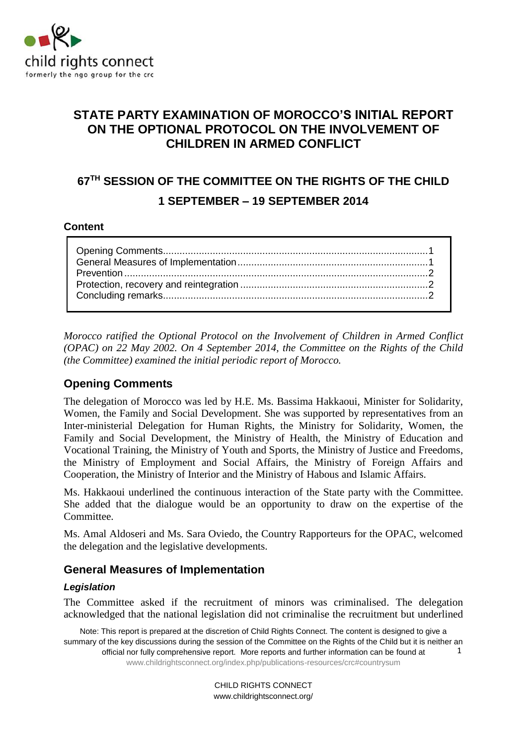

# **STATE PARTY EXAMINATION OF MOROCCO'S INITIAL REPORT ON THE OPTIONAL PROTOCOL ON THE INVOLVEMENT OF CHILDREN IN ARMED CONFLICT**

# **67 TH SESSION OF THE COMMITTEE ON THE RIGHTS OF THE CHILD 1 SEPTEMBER – 19 SEPTEMBER 2014**

#### **Content**

*Morocco ratified the Optional Protocol on the Involvement of Children in Armed Conflict (OPAC) on 22 May 2002. On 4 September 2014, the Committee on the Rights of the Child (the Committee) examined the initial periodic report of Morocco.* 

## <span id="page-0-0"></span>**Opening Comments**

The delegation of Morocco was led by H.E. Ms. Bassima Hakkaoui, Minister for Solidarity, Women, the Family and Social Development. She was supported by representatives from an Inter-ministerial Delegation for Human Rights, the Ministry for Solidarity, Women, the Family and Social Development, the Ministry of Health, the Ministry of Education and Vocational Training, the Ministry of Youth and Sports, the Ministry of Justice and Freedoms, the Ministry of Employment and Social Affairs, the Ministry of Foreign Affairs and Cooperation, the Ministry of Interior and the Ministry of Habous and Islamic Affairs.

Ms. Hakkaoui underlined the continuous interaction of the State party with the Committee. She added that the dialogue would be an opportunity to draw on the expertise of the Committee.

Ms. Amal Aldoseri and Ms. Sara Oviedo, the Country Rapporteurs for the OPAC, welcomed the delegation and the legislative developments.

## <span id="page-0-1"></span>**General Measures of Implementation**

#### *Legislation*

The Committee asked if the recruitment of minors was criminalised. The delegation acknowledged that the national legislation did not criminalise the recruitment but underlined

Note: This report is prepared at the discretion of Child Rights Connect. The content is designed to give a summary of the key discussions during the session of the Committee on the Rights of the Child but it is neither an official nor fully comprehensive report. More reports and further information can be found at [www.childrightsconnect.org/index.php/publications-resources/crc#countrysum](http://www.childrightsconnect.org/index.php/publications-resources/crc#countrysum) 1

> CHILD RIGHTS CONNECT www.childrightsconnect.org/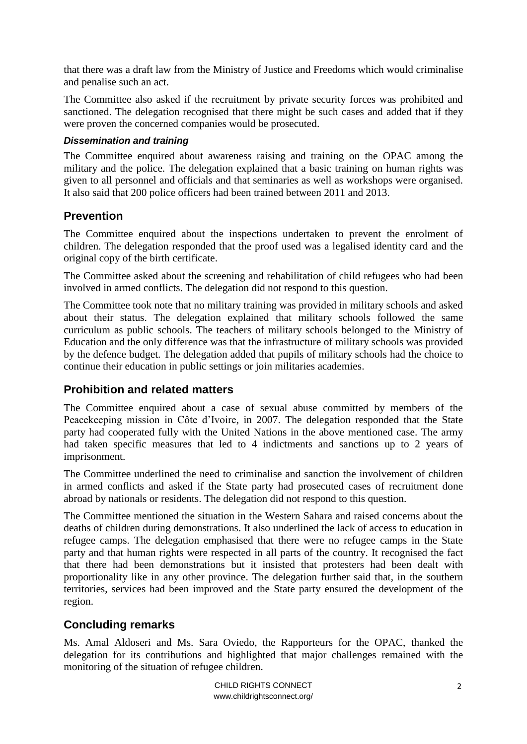that there was a draft law from the Ministry of Justice and Freedoms which would criminalise and penalise such an act.

The Committee also asked if the recruitment by private security forces was prohibited and sanctioned. The delegation recognised that there might be such cases and added that if they were proven the concerned companies would be prosecuted.

#### *Dissemination and training*

The Committee enquired about awareness raising and training on the OPAC among the military and the police. The delegation explained that a basic training on human rights was given to all personnel and officials and that seminaries as well as workshops were organised. It also said that 200 police officers had been trained between 2011 and 2013.

## <span id="page-1-0"></span>**Prevention**

The Committee enquired about the inspections undertaken to prevent the enrolment of children. The delegation responded that the proof used was a legalised identity card and the original copy of the birth certificate.

The Committee asked about the screening and rehabilitation of child refugees who had been involved in armed conflicts. The delegation did not respond to this question.

The Committee took note that no military training was provided in military schools and asked about their status. The delegation explained that military schools followed the same curriculum as public schools. The teachers of military schools belonged to the Ministry of Education and the only difference was that the infrastructure of military schools was provided by the defence budget. The delegation added that pupils of military schools had the choice to continue their education in public settings or join militaries academies.

## <span id="page-1-1"></span>**Prohibition and related matters**

The Committee enquired about a case of sexual abuse committed by members of the Peacekeeping mission in Côte d'Ivoire, in 2007. The delegation responded that the State party had cooperated fully with the United Nations in the above mentioned case. The army had taken specific measures that led to 4 indictments and sanctions up to 2 years of imprisonment.

The Committee underlined the need to criminalise and sanction the involvement of children in armed conflicts and asked if the State party had prosecuted cases of recruitment done abroad by nationals or residents. The delegation did not respond to this question.

The Committee mentioned the situation in the Western Sahara and raised concerns about the deaths of children during demonstrations. It also underlined the lack of access to education in refugee camps. The delegation emphasised that there were no refugee camps in the State party and that human rights were respected in all parts of the country. It recognised the fact that there had been demonstrations but it insisted that protesters had been dealt with proportionality like in any other province. The delegation further said that, in the southern territories, services had been improved and the State party ensured the development of the region.

## <span id="page-1-2"></span>**Concluding remarks**

Ms. Amal Aldoseri and Ms. Sara Oviedo, the Rapporteurs for the OPAC, thanked the delegation for its contributions and highlighted that major challenges remained with the monitoring of the situation of refugee children.